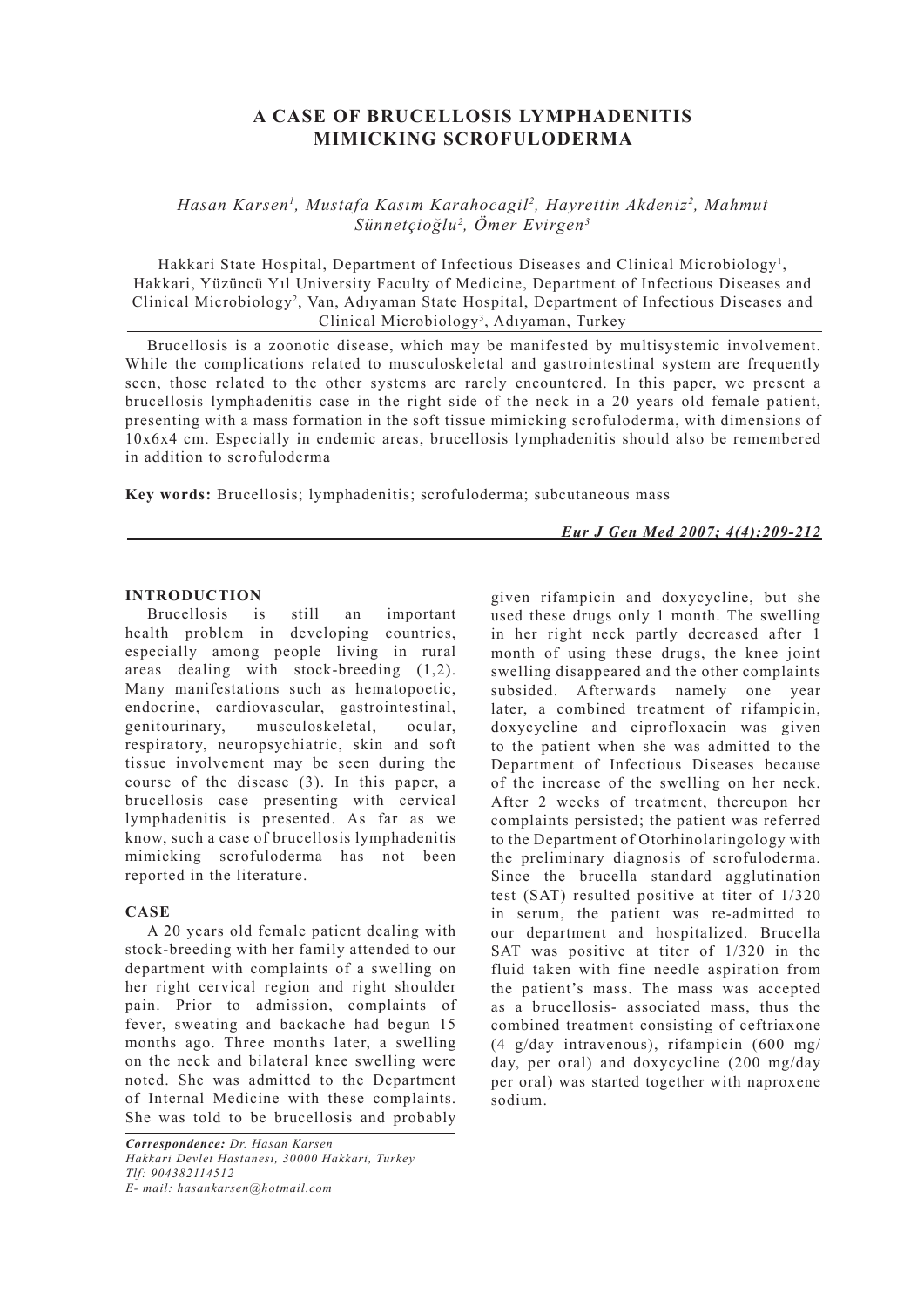# **A CASE OF BRUCELLOSIS LYMPHADENITIS MIMICKING SCROFULODERMA**

*Hasan Karsen1 , Mustafa Kasım Karahocagil2 , Hayrettin Akdeniz2 , Mahmut Sünnetçioğlu2 , Ömer Evirgen3*

Hakkari State Hospital, Department of Infectious Diseases and Clinical Microbiology<sup>1</sup>, Hakkari, Yüzüncü Yıl University Faculty of Medicine, Department of Infectious Diseases and Clinical Microbiology2 , Van, Adıyaman State Hospital, Department of Infectious Diseases and Clinical Microbiology<sup>3</sup>, Adıyaman, Turkey

Brucellosis is a zoonotic disease, which may be manifested by multisystemic involvement. While the complications related to musculoskeletal and gastrointestinal system are frequently seen, those related to the other systems are rarely encountered. In this paper, we present a brucellosis lymphadenitis case in the right side of the neck in a 20 years old female patient, presenting with a mass formation in the soft tissue mimicking scrofuloderma, with dimensions of 10x6x4 cm. Especially in endemic areas, brucellosis lymphadenitis should also be remembered in addition to scrofuloderma

**Key words:** Brucellosis; lymphadenitis; scrofuloderma; subcutaneous mass

*Eur J Gen Med 2007; 4(4):209-212*

### **INTRODUCTION**

Brucellosis is still an important health problem in developing countries, especially among people living in rural areas dealing with stock-breeding (1,2). Many manifestations such as hematopoetic, endocrine, cardiovascular, gastrointestinal, genitourinary, musculoskeletal, ocular, respiratory, neuropsychiatric, skin and soft tissue involvement may be seen during the course of the disease (3). In this paper, a brucellosis case presenting with cervical lymphadenitis is presented. As far as we know, such a case of brucellosis lymphadenitis mimicking scrofuloderma has not been reported in the literature.

# **CASE**

A 20 years old female patient dealing with stock-breeding with her family attended to our department with complaints of a swelling on her right cervical region and right shoulder pain. Prior to admission, complaints of fever, sweating and backache had begun 15 months ago. Three months later, a swelling on the neck and bilateral knee swelling were noted. She was admitted to the Department of Internal Medicine with these complaints. She was told to be brucellosis and probably

*Correspondence: Dr. Hasan Karsen Hakkari Devlet Hastanesi, 30000 Hakkari, Turkey Tlf: 904382114512 E- mail: hasankarsen@hotmail.com*

given rifampicin and doxycycline, but she used these drugs only 1 month. The swelling in her right neck partly decreased after 1 month of using these drugs, the knee joint swelling disappeared and the other complaints subsided. Afterwards namely one year later, a combined treatment of rifampicin, doxycycline and ciprofloxacin was given to the patient when she was admitted to the Department of Infectious Diseases because of the increase of the swelling on her neck. After 2 weeks of treatment, thereupon her complaints persisted; the patient was referred to the Department of Otorhinolaringology with the preliminary diagnosis of scrofuloderma. Since the brucella standard agglutination test (SAT) resulted positive at titer of 1/320 in serum, the patient was re-admitted to our department and hospitalized. Brucella SAT was positive at titer of 1/320 in the fluid taken with fine needle aspiration from the patient's mass. The mass was accepted as a brucellosis- associated mass, thus the combined treatment consisting of ceftriaxone (4 g/day intravenous), rifampicin (600 mg/ day, per oral) and doxycycline (200 mg/day per oral) was started together with naproxene sodium.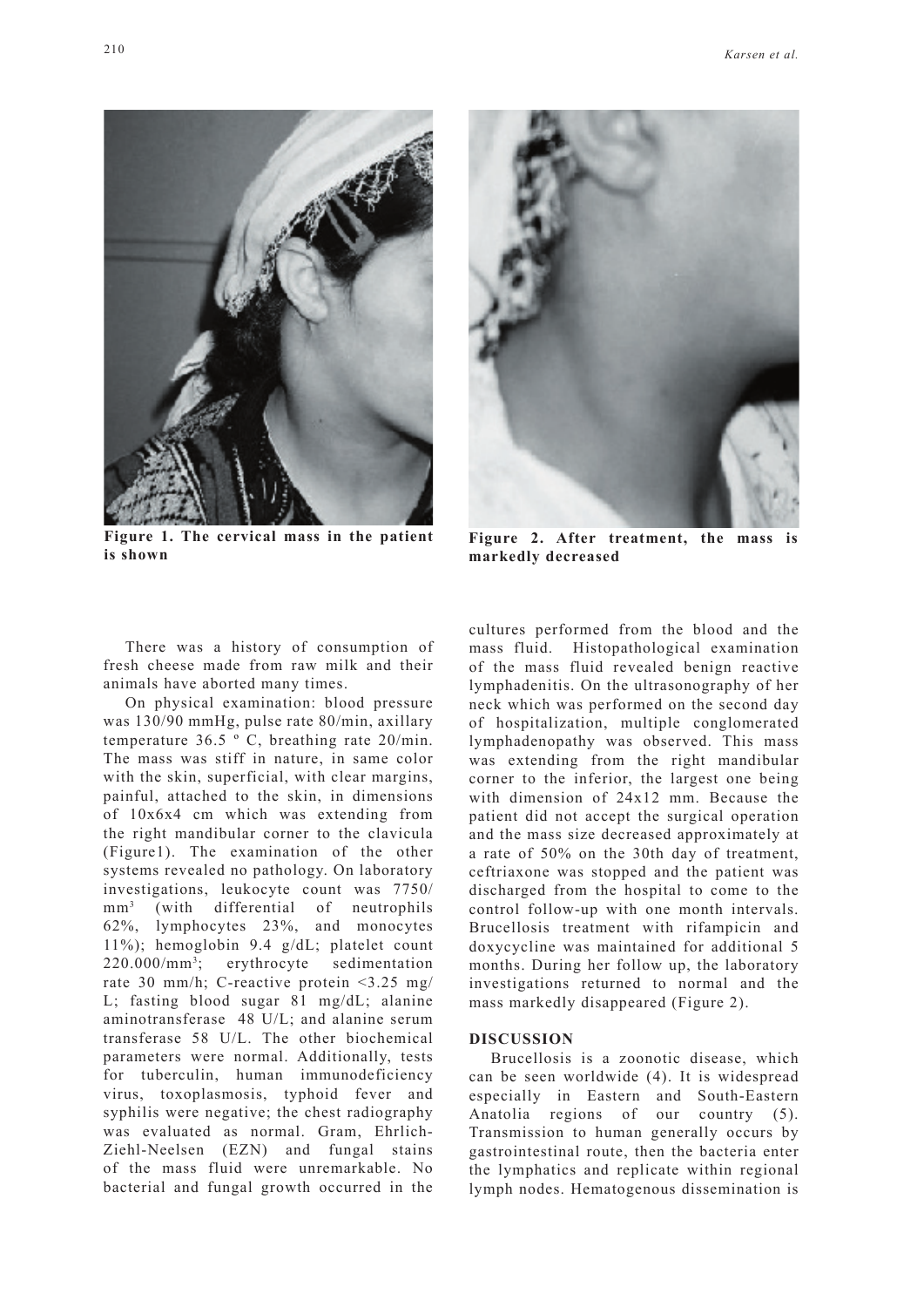

**Figure 1. The cervical mass in the patient is shown** 



Figure 2. After treatment, the mass **markedly decreased**

There was a history of consumption of fresh cheese made from raw milk and their animals have aborted many times.

On physical examination: blood pressure was 130/90 mmHg, pulse rate 80/min, axillary temperature 36.5 º C, breathing rate 20/min. The mass was stiff in nature, in same color with the skin, superficial, with clear margins, painful, attached to the skin, in dimensions of 10x6x4 cm which was extending from the right mandibular corner to the clavicula (Figure1). The examination of the other systems revealed no pathology. On laboratory investigations, leukocyte count was 7750/  $mm<sup>3</sup>$  (with differential of neutrophils 62%, lymphocytes 23%, and monocytes 11%); hemoglobin 9.4 g/dL; platelet count  $220.000/mm^3$ ; erythrocyte sedimentation rate 30 mm/h; C-reactive protein <3.25 mg/ L; fasting blood sugar 81 mg/dL; alanine aminotransferase 48 U/L; and alanine serum transferase 58 U/L. The other biochemical parameters were normal. Additionally, tests for tuberculin, human immunodeficiency virus, toxoplasmosis, typhoid fever and syphilis were negative; the chest radiography was evaluated as normal. Gram, Ehrlich-Ziehl-Neelsen (EZN) and fungal stains of the mass fluid were unremarkable. No bacterial and fungal growth occurred in the

cultures performed from the blood and the mass fluid. Histopathological examination of the mass fluid revealed benign reactive lymphadenitis. On the ultrasonography of her neck which was performed on the second day of hospitalization, multiple conglomerated lymphadenopathy was observed. This mass was extending from the right mandibular corner to the inferior, the largest one being with dimension of 24x12 mm. Because the patient did not accept the surgical operation and the mass size decreased approximately at a rate of 50% on the 30th day of treatment, ceftriaxone was stopped and the patient was discharged from the hospital to come to the control follow-up with one month intervals. Brucellosis treatment with rifampicin and doxycycline was maintained for additional 5 months. During her follow up, the laboratory investigations returned to normal and the mass markedly disappeared (Figure 2).

#### **DISCUSSION**

Brucellosis is a zoonotic disease, which can be seen worldwide (4). It is widespread especially in Eastern and South-Eastern Anatolia regions of our country (5). Transmission to human generally occurs by gastrointestinal route, then the bacteria enter the lymphatics and replicate within regional lymph nodes. Hematogenous dissemination is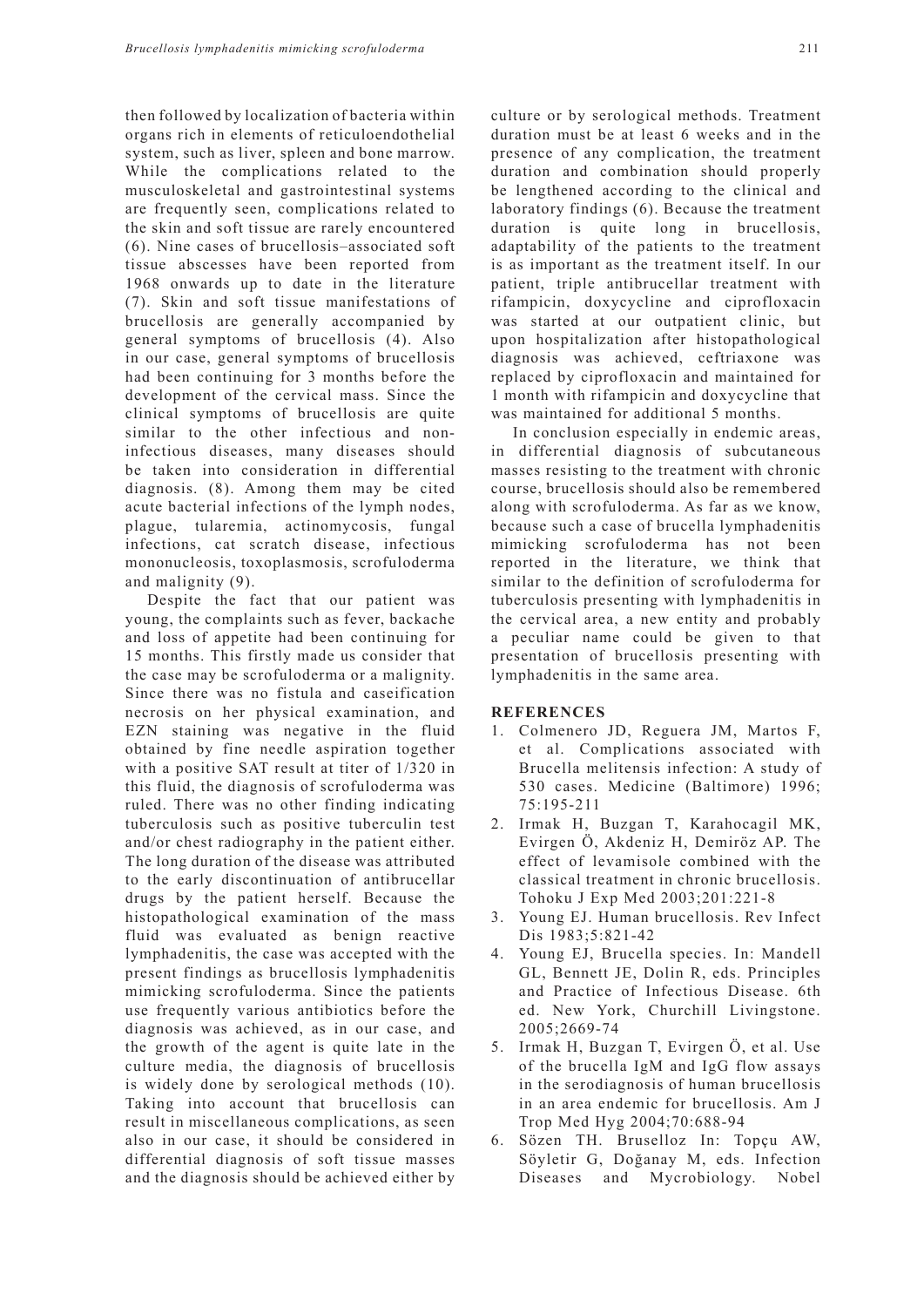then followed by localization of bacteria within organs rich in elements of reticuloendothelial system, such as liver, spleen and bone marrow. While the complications related to the musculoskeletal and gastrointestinal systems are frequently seen, complications related to the skin and soft tissue are rarely encountered (6). Nine cases of brucellosis–associated soft tissue abscesses have been reported from 1968 onwards up to date in the literature (7). Skin and soft tissue manifestations of brucellosis are generally accompanied by general symptoms of brucellosis (4). Also in our case, general symptoms of brucellosis had been continuing for 3 months before the development of the cervical mass. Since the clinical symptoms of brucellosis are quite similar to the other infectious and noninfectious diseases, many diseases should be taken into consideration in differential diagnosis. (8). Among them may be cited acute bacterial infections of the lymph nodes, plague, tularemia, actinomycosis, fungal infections, cat scratch disease, infectious mononucleosis, toxoplasmosis, scrofuloderma and malignity (9).

Despite the fact that our patient was young, the complaints such as fever, backache and loss of appetite had been continuing for 15 months. This firstly made us consider that the case may be scrofuloderma or a malignity. Since there was no fistula and caseification necrosis on her physical examination, and EZN staining was negative in the fluid obtained by fine needle aspiration together with a positive SAT result at titer of 1/320 in this fluid, the diagnosis of scrofuloderma was ruled. There was no other finding indicating tuberculosis such as positive tuberculin test and/or chest radiography in the patient either. The long duration of the disease was attributed to the early discontinuation of antibrucellar drugs by the patient herself. Because the histopathological examination of the mass fluid was evaluated as benign reactive lymphadenitis, the case was accepted with the present findings as brucellosis lymphadenitis mimicking scrofuloderma. Since the patients use frequently various antibiotics before the diagnosis was achieved, as in our case, and the growth of the agent is quite late in the culture media, the diagnosis of brucellosis is widely done by serological methods (10). Taking into account that brucellosis can result in miscellaneous complications, as seen also in our case, it should be considered in differential diagnosis of soft tissue masses and the diagnosis should be achieved either by culture or by serological methods. Treatment duration must be at least 6 weeks and in the presence of any complication, the treatment duration and combination should properly be lengthened according to the clinical and laboratory findings (6). Because the treatment duration is quite long in brucellosis, adaptability of the patients to the treatment is as important as the treatment itself. In our patient, triple antibrucellar treatment with rifampicin, doxycycline and ciprofloxacin was started at our outpatient clinic, but upon hospitalization after histopathological diagnosis was achieved, ceftriaxone was replaced by ciprofloxacin and maintained for 1 month with rifampicin and doxycycline that was maintained for additional 5 months.

In conclusion especially in endemic areas, in differential diagnosis of subcutaneous masses resisting to the treatment with chronic course, brucellosis should also be remembered along with scrofuloderma. As far as we know, because such a case of brucella lymphadenitis mimicking scrofuloderma has not been reported in the literature, we think that similar to the definition of scrofuloderma for tuberculosis presenting with lymphadenitis in the cervical area, a new entity and probably a peculiar name could be given to that presentation of brucellosis presenting with lymphadenitis in the same area.

## **REFERENCES**

- 1. Colmenero JD, Reguera JM, Martos F, et al. Complications associated with Brucella melitensis infection: A study of 530 cases. Medicine (Baltimore) 1996; 75:195-211
- 2. Irmak H, Buzgan T, Karahocagil MK, Evirgen Ö, Akdeniz H, Demiröz AP. The effect of levamisole combined with the classical treatment in chronic brucellosis. Tohoku J Exp Med 2003;201:221-8
- 3. Young EJ. Human brucellosis. Rev Infect Dis 1983;5:821-42
- 4. Young EJ, Brucella species. In: Mandell GL, Bennett JE, Dolin R, eds. Principles and Practice of Infectious Disease. 6th ed. New York, Churchill Livingstone. 2005;2669-74
- 5. Irmak H, Buzgan T, Evirgen Ö, et al. Use of the brucella IgM and IgG flow assays in the serodiagnosis of human brucellosis in an area endemic for brucellosis. Am J Trop Med Hyg 2004;70:688-94
- 6. Sözen TH. Bruselloz In: Topçu AW, Söyletir G, Doğanay M, eds. Infection Diseases and Mycrobiology. Nobel